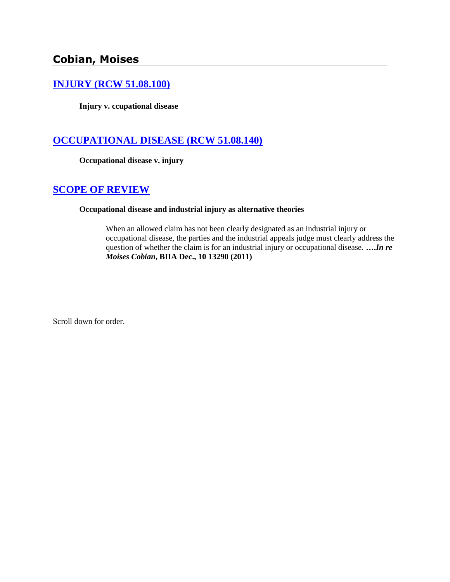# **Cobian, Moises**

### **[INJURY \(RCW 51.08.100\)](http://www.biia.wa.gov/SDSubjectIndex.html#INJURY)**

**Injury v. ccupational disease**

### **[OCCUPATIONAL DISEASE \(RCW 51.08.140\)](http://www.biia.wa.gov/SDSubjectIndex.html#OCCUPATIONAL_DISEASE)**

**Occupational disease v. injury**

### **[SCOPE OF REVIEW](http://www.biia.wa.gov/SDSubjectIndex.html#SCOPE_OF_REVIEW)**

### **Occupational disease and industrial injury as alternative theories**

When an allowed claim has not been clearly designated as an industrial injury or occupational disease, the parties and the industrial appeals judge must clearly address the question of whether the claim is for an industrial injury or occupational disease. **….***In re Moises Cobian***, BIIA Dec., 10 13290 (2011)**

Scroll down for order.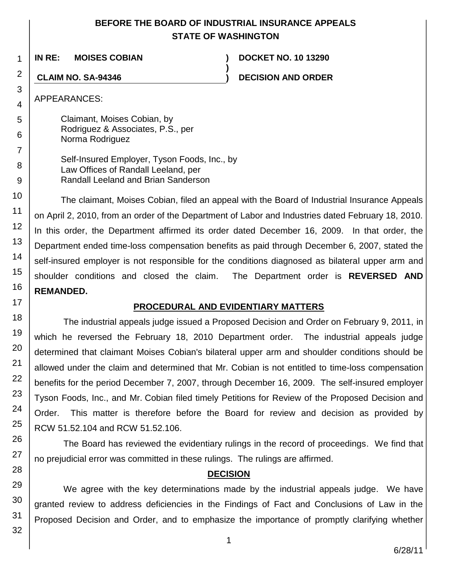## **BEFORE THE BOARD OF INDUSTRIAL INSURANCE APPEALS STATE OF WASHINGTON**

**)**

**IN RE: MOISES COBIAN ) DOCKET NO. 10 13290**

**CLAIM NO. SA-94346 ) DECISION AND ORDER**

APPEARANCES:

1

2

3

4

5

6

7

8 9

10

11

12

13

14

15

16

17

18

19

20

21

22

23

24

25

26

27

28

Claimant, Moises Cobian, by Rodriguez & Associates, P.S., per Norma Rodriguez

Self-Insured Employer, Tyson Foods, Inc., by Law Offices of Randall Leeland, per Randall Leeland and Brian Sanderson

The claimant, Moises Cobian, filed an appeal with the Board of Industrial Insurance Appeals on April 2, 2010, from an order of the Department of Labor and Industries dated February 18, 2010. In this order, the Department affirmed its order dated December 16, 2009. In that order, the Department ended time-loss compensation benefits as paid through December 6, 2007, stated the self-insured employer is not responsible for the conditions diagnosed as bilateral upper arm and shoulder conditions and closed the claim. The Department order is **REVERSED AND REMANDED.**

## **PROCEDURAL AND EVIDENTIARY MATTERS**

The industrial appeals judge issued a Proposed Decision and Order on February 9, 2011, in which he reversed the February 18, 2010 Department order. The industrial appeals judge determined that claimant Moises Cobian's bilateral upper arm and shoulder conditions should be allowed under the claim and determined that Mr. Cobian is not entitled to time-loss compensation benefits for the period December 7, 2007, through December 16, 2009. The self-insured employer Tyson Foods, Inc., and Mr. Cobian filed timely Petitions for Review of the Proposed Decision and Order. This matter is therefore before the Board for review and decision as provided by RCW 51.52.104 and RCW 51.52.106.

The Board has reviewed the evidentiary rulings in the record of proceedings. We find that no prejudicial error was committed in these rulings. The rulings are affirmed.

## **DECISION**

We agree with the key determinations made by the industrial appeals judge. We have granted review to address deficiencies in the Findings of Fact and Conclusions of Law in the Proposed Decision and Order, and to emphasize the importance of promptly clarifying whether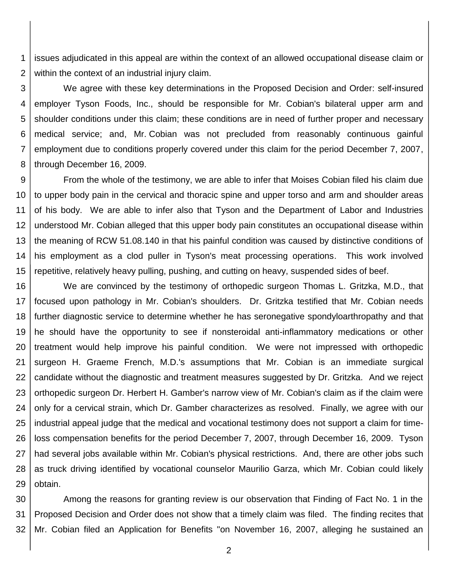1 2 issues adjudicated in this appeal are within the context of an allowed occupational disease claim or within the context of an industrial injury claim.

3 4 5 6 7 8 We agree with these key determinations in the Proposed Decision and Order: self-insured employer Tyson Foods, Inc., should be responsible for Mr. Cobian's bilateral upper arm and shoulder conditions under this claim; these conditions are in need of further proper and necessary medical service; and, Mr. Cobian was not precluded from reasonably continuous gainful employment due to conditions properly covered under this claim for the period December 7, 2007, through December 16, 2009.

9 10 11 12 13 14 15 From the whole of the testimony, we are able to infer that Moises Cobian filed his claim due to upper body pain in the cervical and thoracic spine and upper torso and arm and shoulder areas of his body. We are able to infer also that Tyson and the Department of Labor and Industries understood Mr. Cobian alleged that this upper body pain constitutes an occupational disease within the meaning of RCW 51.08.140 in that his painful condition was caused by distinctive conditions of his employment as a clod puller in Tyson's meat processing operations. This work involved repetitive, relatively heavy pulling, pushing, and cutting on heavy, suspended sides of beef.

16 17 18 19 20 21 22 23 24 25 26 27 28 29 We are convinced by the testimony of orthopedic surgeon Thomas L. Gritzka, M.D., that focused upon pathology in Mr. Cobian's shoulders. Dr. Gritzka testified that Mr. Cobian needs further diagnostic service to determine whether he has seronegative spondyloarthropathy and that he should have the opportunity to see if nonsteroidal anti-inflammatory medications or other treatment would help improve his painful condition. We were not impressed with orthopedic surgeon H. Graeme French, M.D.'s assumptions that Mr. Cobian is an immediate surgical candidate without the diagnostic and treatment measures suggested by Dr. Gritzka. And we reject orthopedic surgeon Dr. Herbert H. Gamber's narrow view of Mr. Cobian's claim as if the claim were only for a cervical strain, which Dr. Gamber characterizes as resolved. Finally, we agree with our industrial appeal judge that the medical and vocational testimony does not support a claim for timeloss compensation benefits for the period December 7, 2007, through December 16, 2009. Tyson had several jobs available within Mr. Cobian's physical restrictions. And, there are other jobs such as truck driving identified by vocational counselor Maurilio Garza, which Mr. Cobian could likely obtain.

30 31 32 Among the reasons for granting review is our observation that Finding of Fact No. 1 in the Proposed Decision and Order does not show that a timely claim was filed. The finding recites that Mr. Cobian filed an Application for Benefits "on November 16, 2007, alleging he sustained an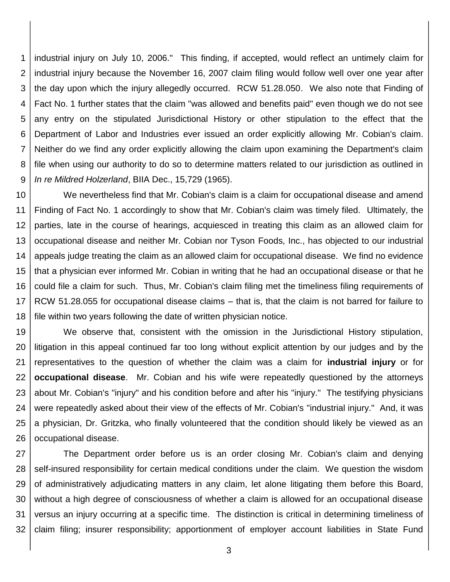1 2 3 4 5 6 7 8 9 industrial injury on July 10, 2006." This finding, if accepted, would reflect an untimely claim for industrial injury because the November 16, 2007 claim filing would follow well over one year after the day upon which the injury allegedly occurred. RCW 51.28.050. We also note that Finding of Fact No. 1 further states that the claim "was allowed and benefits paid" even though we do not see any entry on the stipulated Jurisdictional History or other stipulation to the effect that the Department of Labor and Industries ever issued an order explicitly allowing Mr. Cobian's claim. Neither do we find any order explicitly allowing the claim upon examining the Department's claim file when using our authority to do so to determine matters related to our jurisdiction as outlined in *In re Mildred Holzerland*, BIIA Dec., 15,729 (1965).

10 11 12 13 14 15 16 17 18 We nevertheless find that Mr. Cobian's claim is a claim for occupational disease and amend Finding of Fact No. 1 accordingly to show that Mr. Cobian's claim was timely filed. Ultimately, the parties, late in the course of hearings, acquiesced in treating this claim as an allowed claim for occupational disease and neither Mr. Cobian nor Tyson Foods, Inc., has objected to our industrial appeals judge treating the claim as an allowed claim for occupational disease. We find no evidence that a physician ever informed Mr. Cobian in writing that he had an occupational disease or that he could file a claim for such. Thus, Mr. Cobian's claim filing met the timeliness filing requirements of RCW 51.28.055 for occupational disease claims – that is, that the claim is not barred for failure to file within two years following the date of written physician notice.

19 20 21 22 23 24 25 26 We observe that, consistent with the omission in the Jurisdictional History stipulation, litigation in this appeal continued far too long without explicit attention by our judges and by the representatives to the question of whether the claim was a claim for **industrial injury** or for **occupational disease**. Mr. Cobian and his wife were repeatedly questioned by the attorneys about Mr. Cobian's "injury" and his condition before and after his "injury." The testifying physicians were repeatedly asked about their view of the effects of Mr. Cobian's "industrial injury." And, it was a physician, Dr. Gritzka, who finally volunteered that the condition should likely be viewed as an occupational disease.

27 28 29 30 31 32 The Department order before us is an order closing Mr. Cobian's claim and denying self-insured responsibility for certain medical conditions under the claim. We question the wisdom of administratively adjudicating matters in any claim, let alone litigating them before this Board, without a high degree of consciousness of whether a claim is allowed for an occupational disease versus an injury occurring at a specific time. The distinction is critical in determining timeliness of claim filing; insurer responsibility; apportionment of employer account liabilities in State Fund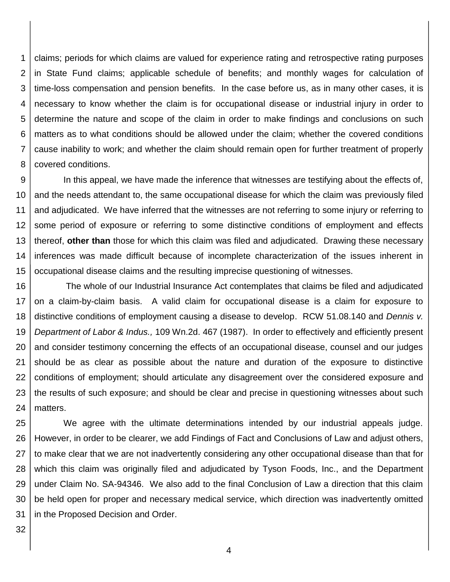1 2 3 4 5 6 7 8 claims; periods for which claims are valued for experience rating and retrospective rating purposes in State Fund claims; applicable schedule of benefits; and monthly wages for calculation of time-loss compensation and pension benefits. In the case before us, as in many other cases, it is necessary to know whether the claim is for occupational disease or industrial injury in order to determine the nature and scope of the claim in order to make findings and conclusions on such matters as to what conditions should be allowed under the claim; whether the covered conditions cause inability to work; and whether the claim should remain open for further treatment of properly covered conditions.

9 10 11 12 13 14 15 In this appeal, we have made the inference that witnesses are testifying about the effects of, and the needs attendant to, the same occupational disease for which the claim was previously filed and adjudicated. We have inferred that the witnesses are not referring to some injury or referring to some period of exposure or referring to some distinctive conditions of employment and effects thereof, **other than** those for which this claim was filed and adjudicated. Drawing these necessary inferences was made difficult because of incomplete characterization of the issues inherent in occupational disease claims and the resulting imprecise questioning of witnesses.

16 17 18 19 20 21 22 23 24 The whole of our Industrial Insurance Act contemplates that claims be filed and adjudicated on a claim-by-claim basis. A valid claim for occupational disease is a claim for exposure to distinctive conditions of employment causing a disease to develop. RCW 51.08.140 and *Dennis v. Department of Labor & Indus.,* 109 Wn.2d. 467 (1987). In order to effectively and efficiently present and consider testimony concerning the effects of an occupational disease, counsel and our judges should be as clear as possible about the nature and duration of the exposure to distinctive conditions of employment; should articulate any disagreement over the considered exposure and the results of such exposure; and should be clear and precise in questioning witnesses about such matters.

25 26 27 28 29 30 31 We agree with the ultimate determinations intended by our industrial appeals judge. However, in order to be clearer, we add Findings of Fact and Conclusions of Law and adjust others, to make clear that we are not inadvertently considering any other occupational disease than that for which this claim was originally filed and adjudicated by Tyson Foods, Inc., and the Department under Claim No. SA-94346. We also add to the final Conclusion of Law a direction that this claim be held open for proper and necessary medical service, which direction was inadvertently omitted in the Proposed Decision and Order.

32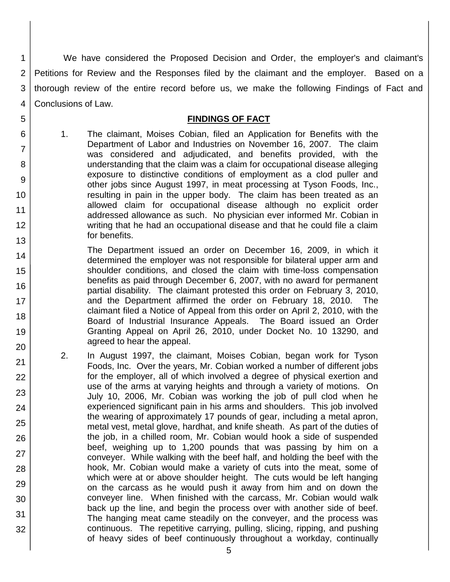1 2 3 4 We have considered the Proposed Decision and Order, the employer's and claimant's Petitions for Review and the Responses filed by the claimant and the employer. Based on a thorough review of the entire record before us, we make the following Findings of Fact and Conclusions of Law.

### **FINDINGS OF FACT**

1. The claimant, Moises Cobian, filed an Application for Benefits with the Department of Labor and Industries on November 16, 2007. The claim was considered and adjudicated, and benefits provided, with the understanding that the claim was a claim for occupational disease alleging exposure to distinctive conditions of employment as a clod puller and other jobs since August 1997, in meat processing at Tyson Foods, Inc., resulting in pain in the upper body. The claim has been treated as an allowed claim for occupational disease although no explicit order addressed allowance as such. No physician ever informed Mr. Cobian in writing that he had an occupational disease and that he could file a claim for benefits.

5

6

7

8

9

10

11 12

13

21 22

23

24

25

26

27

28

29

30

31

- 14 15 16 17 18 19 20 The Department issued an order on December 16, 2009, in which it determined the employer was not responsible for bilateral upper arm and shoulder conditions, and closed the claim with time-loss compensation benefits as paid through December 6, 2007, with no award for permanent partial disability. The claimant protested this order on February 3, 2010, and the Department affirmed the order on February 18, 2010. The claimant filed a Notice of Appeal from this order on April 2, 2010, with the Board of Industrial Insurance Appeals. The Board issued an Order Granting Appeal on April 26, 2010, under Docket No. 10 13290, and agreed to hear the appeal.
	- 2. In August 1997, the claimant, Moises Cobian, began work for Tyson Foods, Inc. Over the years, Mr. Cobian worked a number of different jobs for the employer, all of which involved a degree of physical exertion and use of the arms at varying heights and through a variety of motions. On July 10, 2006, Mr. Cobian was working the job of pull clod when he experienced significant pain in his arms and shoulders. This job involved the wearing of approximately 17 pounds of gear, including a metal apron, metal vest, metal glove, hardhat, and knife sheath. As part of the duties of the job, in a chilled room, Mr. Cobian would hook a side of suspended beef, weighing up to 1,200 pounds that was passing by him on a conveyer. While walking with the beef half, and holding the beef with the hook, Mr. Cobian would make a variety of cuts into the meat, some of which were at or above shoulder height. The cuts would be left hanging on the carcass as he would push it away from him and on down the conveyer line. When finished with the carcass, Mr. Cobian would walk back up the line, and begin the process over with another side of beef. The hanging meat came steadily on the conveyer, and the process was continuous. The repetitive carrying, pulling, slicing, ripping, and pushing of heavy sides of beef continuously throughout a workday, continually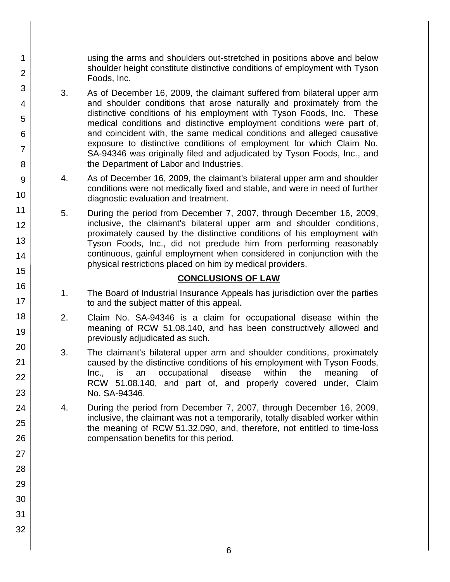using the arms and shoulders out-stretched in positions above and below shoulder height constitute distinctive conditions of employment with Tyson Foods, Inc.

- 3. As of December 16, 2009, the claimant suffered from bilateral upper arm and shoulder conditions that arose naturally and proximately from the distinctive conditions of his employment with Tyson Foods, Inc. These medical conditions and distinctive employment conditions were part of, and coincident with, the same medical conditions and alleged causative exposure to distinctive conditions of employment for which Claim No. SA-94346 was originally filed and adjudicated by Tyson Foods, Inc., and the Department of Labor and Industries.
- 4. As of December 16, 2009, the claimant's bilateral upper arm and shoulder conditions were not medically fixed and stable, and were in need of further diagnostic evaluation and treatment.
- 5. During the period from December 7, 2007, through December 16, 2009, inclusive, the claimant's bilateral upper arm and shoulder conditions, proximately caused by the distinctive conditions of his employment with Tyson Foods, Inc., did not preclude him from performing reasonably continuous, gainful employment when considered in conjunction with the physical restrictions placed on him by medical providers.

## **CONCLUSIONS OF LAW**

- 1. The Board of Industrial Insurance Appeals has jurisdiction over the parties to and the subject matter of this appeal.
- 2. Claim No. SA-94346 is a claim for occupational disease within the meaning of RCW 51.08.140, and has been constructively allowed and previously adjudicated as such.
- 3. The claimant's bilateral upper arm and shoulder conditions, proximately caused by the distinctive conditions of his employment with Tyson Foods, Inc., is an occupational disease within the meaning of RCW 51.08.140, and part of, and properly covered under, Claim No. SA-94346.
- 4. During the period from December 7, 2007, through December 16, 2009, inclusive, the claimant was not a temporarily, totally disabled worker within the meaning of RCW 51.32.090, and, therefore, not entitled to time-loss compensation benefits for this period.
- 1 2 3 4 5 6 7 8 9 10 11 12 13 14 15 16 17 18 19 20 21 22 23 24 25 26 27 28 29 30 31 32